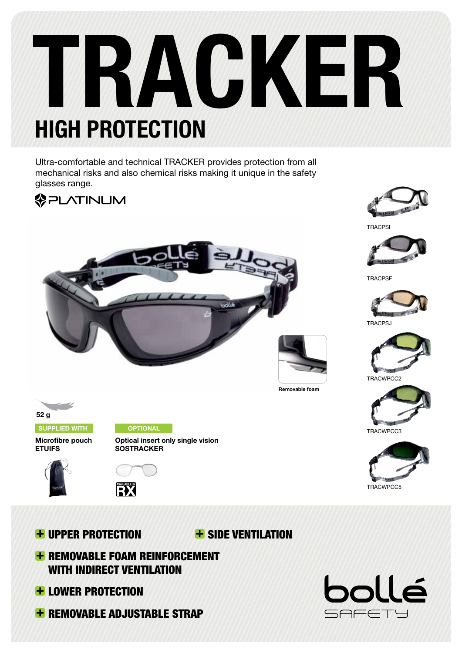# **TRACKER HigH PRoteCtion**

Ultra-comfortable and technical TRACKER provides protection from all mechanical risks and also chemical risks making it unique in the safety glasses range.





**Optical insert only single vision**

**oPtionAl**



**TRACPS** 



**TRACPSF** 







TRACWPCC2



TRACWPCC3





**suPPlied WitH**

**Microfibre pouch ETUIFS**





Upper protection

**+ SIDE VENTILATION** 

**Removable foam**

- **+ REMOVABLE FOAM REINFORCEMENT** WITH INDIRECT VENTILATION
- **+ LOWER PROTECTION**
- **+ REMOVABLE ADJUSTABLE STRAP**

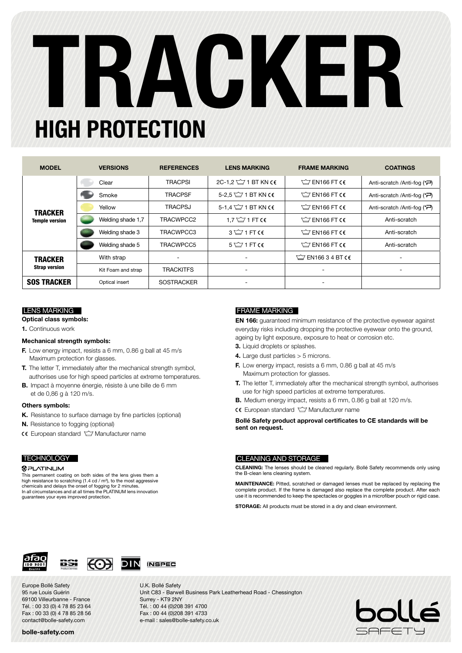# **TRACKER HigH PRoteCtion**

| <b>MODEL</b>                            | <b>VERSIONS</b>    | <b>REFERENCES</b> | <b>LENS MARKING</b>       | <b>FRAME MARKING</b>     | <b>COATINGS</b>                           |  |
|-----------------------------------------|--------------------|-------------------|---------------------------|--------------------------|-------------------------------------------|--|
| <b>TRACKER</b><br><b>Temple version</b> | Clear              | <b>TRACPSI</b>    | 2C-1.2 $\cong$ 1 BT KN CE | $\cong$ EN166 FT CE      | Anti-scratch /Anti-fog (*~)               |  |
|                                         | Smoke              | <b>TRACPSF</b>    | 5-2.5 $\cong$ 1 BT KN CE  | $\bigcirc$ FN166 FT CE   | Anti-scratch /Anti-fog (*~)               |  |
|                                         | Yellow             | <b>TRACPSJ</b>    | 5-1,4 $\cong$ 1 BT KN CE  | $\sqrt{2}$ EN166 FT CE   | Anti-scratch /Anti-fog (+ <sup>--</sup> ) |  |
|                                         | Welding shade 1,7  | TRACWPCC2         | 1.7 $\cong$ 1 FT CC       | $\sqrt{2}$ EN166 FT CE   | Anti-scratch                              |  |
|                                         | Welding shade 3    | TRACWPCC3         | $3 \leq 1$ FT CC          | $\sqrt{2}$ EN166 FT CE   | Anti-scratch                              |  |
|                                         | Welding shade 5    | TRACWPCC5         | $5 \leq 1$ FT CE          | $\bigcirc$ EN166 FT CE   | Anti-scratch                              |  |
| <b>TRACKER</b><br><b>Strap version</b>  | With strap         |                   |                           | $\cong$ EN166 3 4 BT CE  |                                           |  |
|                                         | Kit Foam and strap | <b>TRACKITFS</b>  | $\overline{\phantom{a}}$  | $\overline{\phantom{a}}$ | $\overline{\phantom{a}}$                  |  |
| <b>SOS TRACKER</b>                      | Optical insert     | <b>SOSTRACKER</b> | $\overline{\phantom{a}}$  | $\overline{\phantom{a}}$ |                                           |  |

**Optical class symbols:**

**1.** Continuous work

### **Mechanical strength symbols:**

- **F.** Low energy impact, resists a 6 mm, 0.86 g ball at 45 m/s Maximum protection for glasses.
- **T.** The letter T, immediately after the mechanical strength symbol, authorises use for high speed particles at extreme temperatures.
- **B.** Impact à moyenne énergie, résiste à une bille de 6 mm et de 0,86 g à 120 m/s.

### **Others symbols:**

- **K.** Resistance to surface damage by fine particles (optional)
- **N.** Resistance to fogging (optional)
- **CE** European standard  $\cong$  Manufacturer name

### **TECHNOLOGY**

### **@PLATINUM**

This permanent coating on both sides of the lens gives them a high resistance to scratching  $(1.4 \text{ cd}/\text{m}^2)$ , to the most aggressive chemicals and delays the onset of fogging for 2 minutes. In all circumstances and at all times the PLATINUM lens innovation guarantees your eyes improved protection.

### lENs MaRKING FRaME MaRKING

**EN 166:** guaranteed minimum resistance of the protective eyewear against everyday risks including dropping the protective eyewear onto the ground, ageing by light exposure, exposure to heat or corrosion etc.

- **3.** Liquid droplets or splashes.
- **4.** Large dust particles > 5 microns.
- **F.** Low energy impact, resists a 6 mm, 0.86 g ball at 45 m/s Maximum protection for glasses.
- **T.** The letter T, immediately after the mechanical strength symbol, authorises use for high speed particles at extreme temperatures.
- **B.** Medium energy impact, resists a 6 mm, 0.86 g ball at 120 m/s.
- **CE** European standard  $\cong$  Manufacturer name

**Bollé Safety product approval certificates to CE standards will be sent on request.**

### Cleaning and storage

**CLEANING:** The lenses should be cleaned regularly. Bollé Safety recommends only using the B-clean lens cleaning system.

**MAINTENANCE:** Pitted, scratched or damaged lenses must be replaced by replacing the complete product. If the frame is damaged also replace the complete product. After each use it is recommended to keep the spectacles or goggles in a microfiber pouch or rigid case.

**STORAGE:** All products must be stored in a dry and clean environment.





Europe Bollé Safety 95 rue Louis Guérin 69100 Villeurbanne - France Tél. : 00 33 (0) 4 78 85 23 64 Fax : 00 33 (0) 4 78 85 28 56 contact@bolle-safety.com

### **bolle-safety.com**

U.K. Bollé Safety Unit C83 - Barwell Business Park Leatherhead Road - Chessington Surrey - KT9 2NY Tél. : 00 44 (0)208 391 4700 Fax : 00 44 (0)208 391 4733 e-mail : sales@bolle-safety.co.uk